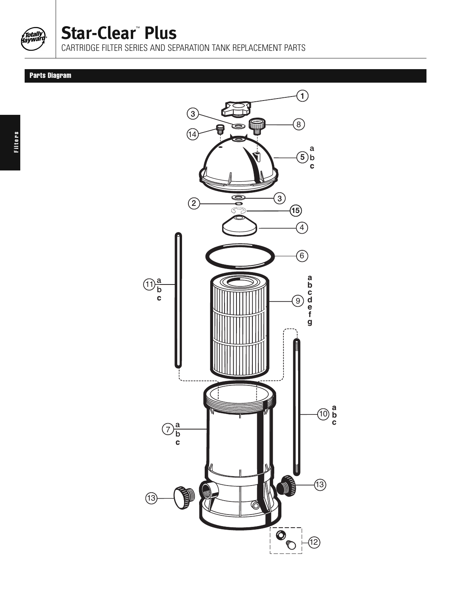

## **Star-Clear**™ **Plus**

CARTRIDGE FILTER SERIES AND SEPARATION TANK REPLACEMENT PARTS

## Parts Diagram